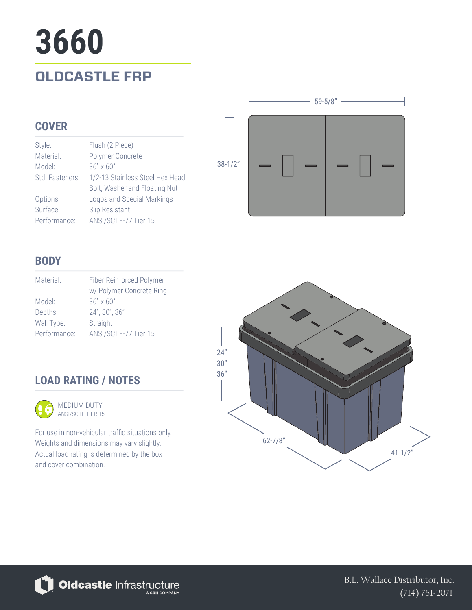# **OLDCASTLE FRP 3660**

#### **COVER**

| Style:          | Flush (2 Piece)                 |
|-----------------|---------------------------------|
| Material:       | Polymer Concrete                |
| Model:          | $36" \times 60"$                |
| Std. Fasteners: | 1/2-13 Stainless Steel Hex Head |
|                 | Bolt, Washer and Floating Nut   |
| Options:        | Logos and Special Markings      |
| Surface:        | Slip Resistant                  |
| Performance:    | ANSI/SCTE-77 Tier 15            |



#### **BODY**

| Material:    | Fiber Reinforced Polymer |
|--------------|--------------------------|
|              | w/ Polymer Concrete Ring |
| Model:       | $36" \times 60"$         |
| Depths:      | 24", 30", 36"            |
| Wall Type:   | Straight                 |
| Performance: | ANSI/SCTE-77 Tier 15     |

### **LOAD RATING / NOTES**



For use in non-vehicular traffic situations only. Weights and dimensions may vary slightly. Actual load rating is determined by the box and cover combination.





B.L. Wallace Distributor, Inc. (714) 761-2071